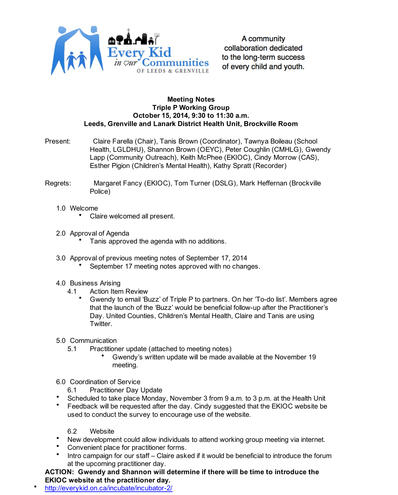

A community collaboration dedicated to the long-term success of every child and youth.

## **Meeting Notes Triple P Working Group October 15, 2014, 9:30 to 11:30 a.m. Leeds, Grenville and Lanark District Health Unit, Brockville Room**

- Present: Claire Farella (Chair), Tanis Brown (Coordinator), Tawnya Boileau (School Health, LGLDHU), Shannon Brown (OEYC), Peter Coughlin (CMHLG), Gwendy Lapp (Community Outreach), Keith McPhee (EKIOC), Cindy Morrow (CAS), Esther Pigion (Children's Mental Health), Kathy Spratt (Recorder)
- Regrets: Margaret Fancy (EKIOC), Tom Turner (DSLG), Mark Heffernan (Brockville Police)
	- 1.0 Welcome
		- Claire welcomed all present. •
	- 2.0 Approval of Agenda
		- Tanis approved the agenda with no additions. •
	- 3.0 Approval of previous meeting notes of September 17, 2014
		- September 17 meeting notes approved with no changes. •
	- 4.0 Business Arising
		- Action Item Review 4.1
			- Gwendy to email 'Buzz' of Triple P to partners. On her 'To-do list'. Members agree that the launch of the 'Buzz' would be beneficial follow-up after the Practitioner's Day. United Counties, Children's Mental Health, Claire and Tanis are using Twitter. •
	- 5.0 Communication

5.1

- Practitioner update (attached to meeting notes)
	- Gwendy's written update will be made available at the November 19 meeting. •
- 6.0 Coordination of Service
- Practitioner Day Update 6.1
- Scheduled to take place Monday, November 3 from 9 a.m. to 3 p.m. at the Health Unit •
- Feedback will be requested after the day. Cindy suggested that the EKIOC website be used to conduct the survey to encourage use of the website. •
	- **Website** 6.2
- New development could allow individuals to attend working group meeting via internet. •
- Convenient place for practitioner forms. •
- Intro campaign for our staff Claire asked if it would be beneficial to introduce the forum at the upcoming practitioner day. •
- **ACTION: Gwendy and Shannon will determine if there will be time to introduce the EKIOC website at the practitioner day.**
- http://everykid.on.ca/incubate/incubator-2/ •